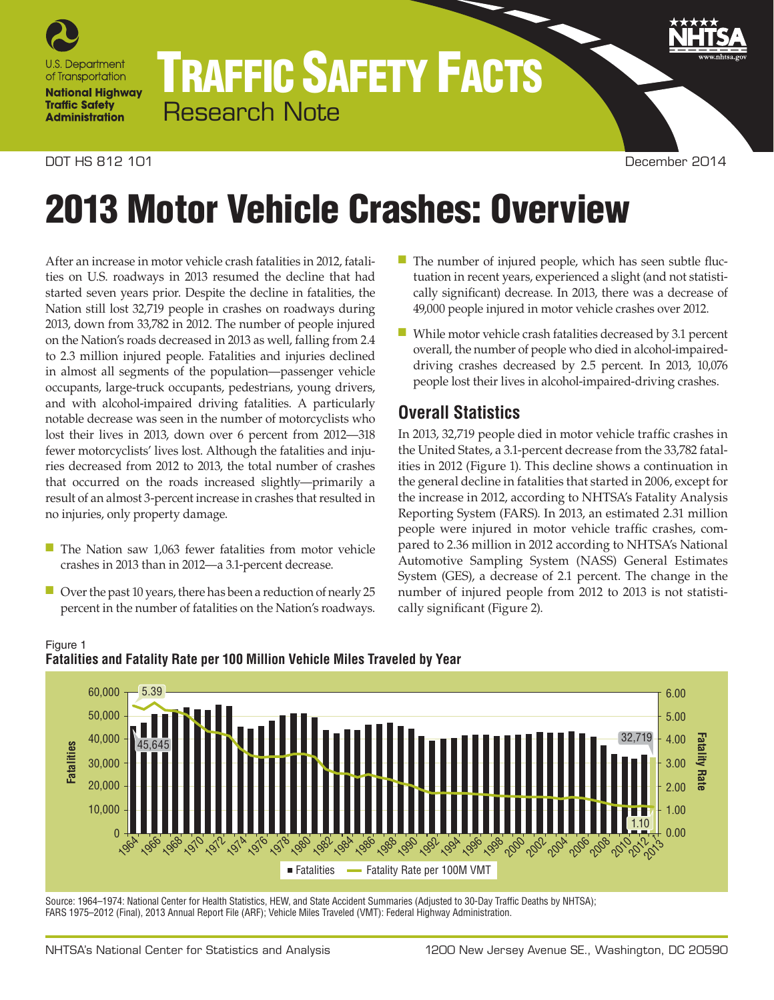

# TRAFFIC SAFETY FACTS Research Note

#### DOT HS 812 101 December 2014

# 2013 Motor Vehicle Crashes: Overview

After an increase in motor vehicle crash fatalities in 2012, fatalities on U.S. roadways in 2013 resumed the decline that had started seven years prior. Despite the decline in fatalities, the Nation still lost 32,719 people in crashes on roadways during 2013, down from 33,782 in 2012. The number of people injured on the Nation's roads decreased in 2013 as well, falling from 2.4 to 2.3 million injured people. Fatalities and injuries declined in almost all segments of the population—passenger vehicle occupants, large-truck occupants, pedestrians, young drivers, and with alcohol-impaired driving fatalities. A particularly notable decrease was seen in the number of motorcyclists who lost their lives in 2013, down over 6 percent from 2012—318 fewer motorcyclists' lives lost. Although the fatalities and injuries decreased from 2012 to 2013, the total number of crashes that occurred on the roads increased slightly—primarily a result of an almost 3-percent increase in crashes that resulted in no injuries, only property damage.

- The Nation saw 1,063 fewer fatalities from motor vehicle crashes in 2013 than in 2012—a 3.1-percent decrease.
- Over the past 10 years, there has been a reduction of nearly 25 percent in the number of fatalities on the Nation's roadways.
- The number of injured people, which has seen subtle fluctuation in recent years, experienced a slight (and not statistically significant) decrease. In 2013, there was a decrease of 49,000 people injured in motor vehicle crashes over 2012.
- While motor vehicle crash fatalities decreased by 3.1 percent overall, the number of people who died in alcohol-impaireddriving crashes decreased by 2.5 percent. In 2013, 10,076 people lost their lives in alcohol-impaired-driving crashes.

## **Overall Statistics**

In 2013, 32,719 people died in motor vehicle traffic crashes in the United States, a 3.1-percent decrease from the 33,782 fatalities in 2012 (Figure 1). This decline shows a continuation in the general decline in fatalities that started in 2006, except for the increase in 2012, according to NHTSA's Fatality Analysis Reporting System (FARS). In 2013, an estimated 2.31 million people were injured in motor vehicle traffic crashes, compared to 2.36 million in 2012 according to NHTSA's National Automotive Sampling System (NASS) General Estimates System (GES), a decrease of 2.1 percent. The change in the number of injured people from 2012 to 2013 is not statistically significant (Figure 2).



#### Figure 1 **Fatalities and Fatality Rate per 100 Million Vehicle Miles Traveled by Year**

Source: 1964–1974: National Center for Health Statistics, HEW, and State Accident Summaries (Adjusted to 30-Day Traffic Deaths by NHTSA); FARS 1975–2012 (Final), 2013 Annual Report File (ARF); Vehicle Miles Traveled (VMT): Federal Highway Administration.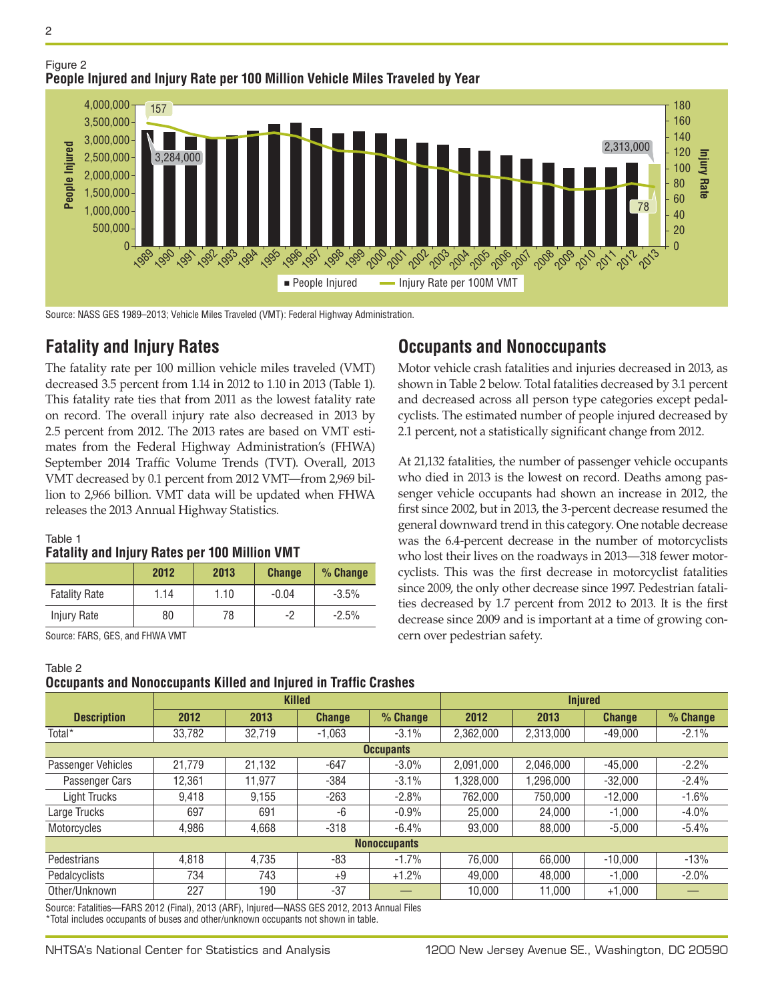



Source: NASS GES 1989–2013; Vehicle Miles Traveled (VMT): Federal Highway Administration.

## **Fatality and Injury Rates**

The fatality rate per 100 million vehicle miles traveled (VMT) decreased 3.5 percent from 1.14 in 2012 to 1.10 in 2013 (Table 1). This fatality rate ties that from 2011 as the lowest fatality rate on record. The overall injury rate also decreased in 2013 by 2.5 percent from 2012. The 2013 rates are based on VMT estimates from the Federal Highway Administration's (FHWA) September 2014 Traffic Volume Trends (TVT). Overall, 2013 VMT decreased by 0.1 percent from 2012 VMT—from 2,969 billion to 2,966 billion. VMT data will be updated when FHWA releases the 2013 Annual Highway Statistics.

#### Table 1

#### **Fatality and Injury Rates per 100 Million VMT**

|                      | 2012 | 2013 | <b>Change</b> | $%$ Change |
|----------------------|------|------|---------------|------------|
| <b>Fatality Rate</b> | 1.14 | 1.10 | $-0.04$       | $-3.5%$    |
| Injury Rate          | 80   | 78   | -2            | $-2.5%$    |

Source: FARS, GES, and FHWA VMT

#### Table 2

#### **Occupants and Nonoccupants Killed and Injured in Traffic Crashes**

|                    | Ouupanio ana nonovupanio Kinoa ana mjaroa in Tranio Oraonoo |        |               |                     |                |           |               |          |  |  |  |  |  |
|--------------------|-------------------------------------------------------------|--------|---------------|---------------------|----------------|-----------|---------------|----------|--|--|--|--|--|
|                    |                                                             |        | <b>Killed</b> |                     | <b>Injured</b> |           |               |          |  |  |  |  |  |
| <b>Description</b> | 2012                                                        | 2013   | <b>Change</b> | % Change            | 2012           | 2013      | <b>Change</b> | % Change |  |  |  |  |  |
| Total <sup>*</sup> | 33,782                                                      | 32,719 | $-1,063$      | $-3.1%$             | 2,362,000      | 2,313,000 | $-49,000$     | $-2.1%$  |  |  |  |  |  |
| <b>Occupants</b>   |                                                             |        |               |                     |                |           |               |          |  |  |  |  |  |
| Passenger Vehicles | 21.779                                                      | 21,132 | -647          | $-3.0\%$            | 2,091,000      | 2,046,000 | $-45.000$     | $-2.2%$  |  |  |  |  |  |
| Passenger Cars     | 12.361                                                      | 11.977 | $-384$        | $-3.1%$             | .328.000       | ,296,000  | $-32.000$     | $-2.4%$  |  |  |  |  |  |
| Light Trucks       | 9.418                                                       | 9.155  | $-263$        | $-2.8%$             | 762.000        | 750.000   | $-12.000$     | $-1.6%$  |  |  |  |  |  |
| Large Trucks       | 697                                                         | 691    | -6            | $-0.9\%$            | 25.000         | 24.000    | $-1.000$      | $-4.0\%$ |  |  |  |  |  |
| Motorcycles        | 4,986                                                       | 4,668  | $-318$        | $-6.4%$             | 93,000         | 88,000    | $-5,000$      | $-5.4%$  |  |  |  |  |  |
|                    |                                                             |        |               | <b>Nonoccupants</b> |                |           |               |          |  |  |  |  |  |
| Pedestrians        | 4.818                                                       | 4.735  | $-83$         | $-1.7%$             | 76.000         | 66.000    | $-10.000$     | $-13%$   |  |  |  |  |  |
| Pedalcyclists      | 734                                                         | 743    | $+9$          | $+1.2%$             | 49,000         | 48.000    | $-1.000$      | $-2.0%$  |  |  |  |  |  |
| Other/Unknown      | 227                                                         | 190    | $-37$         |                     | 10,000         | 11,000    | $+1,000$      |          |  |  |  |  |  |

Source: Fatalities—FARS 2012 (Final), 2013 (ARF), Injured—NASS GES 2012, 2013 Annual Files \*Total includes occupants of buses and other/unknown occupants not shown in table.

## **Occupants and Nonoccupants**

Motor vehicle crash fatalities and injuries decreased in 2013, as shown in Table 2 below. Total fatalities decreased by 3.1 percent and decreased across all person type categories except pedalcyclists. The estimated number of people injured decreased by 2.1 percent, not a statistically significant change from 2012.

At 21,132 fatalities, the number of passenger vehicle occupants who died in 2013 is the lowest on record. Deaths among passenger vehicle occupants had shown an increase in 2012, the first since 2002, but in 2013, the 3-percent decrease resumed the general downward trend in this category. One notable decrease was the 6.4-percent decrease in the number of motorcyclists who lost their lives on the roadways in 2013—318 fewer motorcyclists. This was the first decrease in motorcyclist fatalities since 2009, the only other decrease since 1997. Pedestrian fatalities decreased by 1.7 percent from 2012 to 2013. It is the first decrease since 2009 and is important at a time of growing concern over pedestrian safety.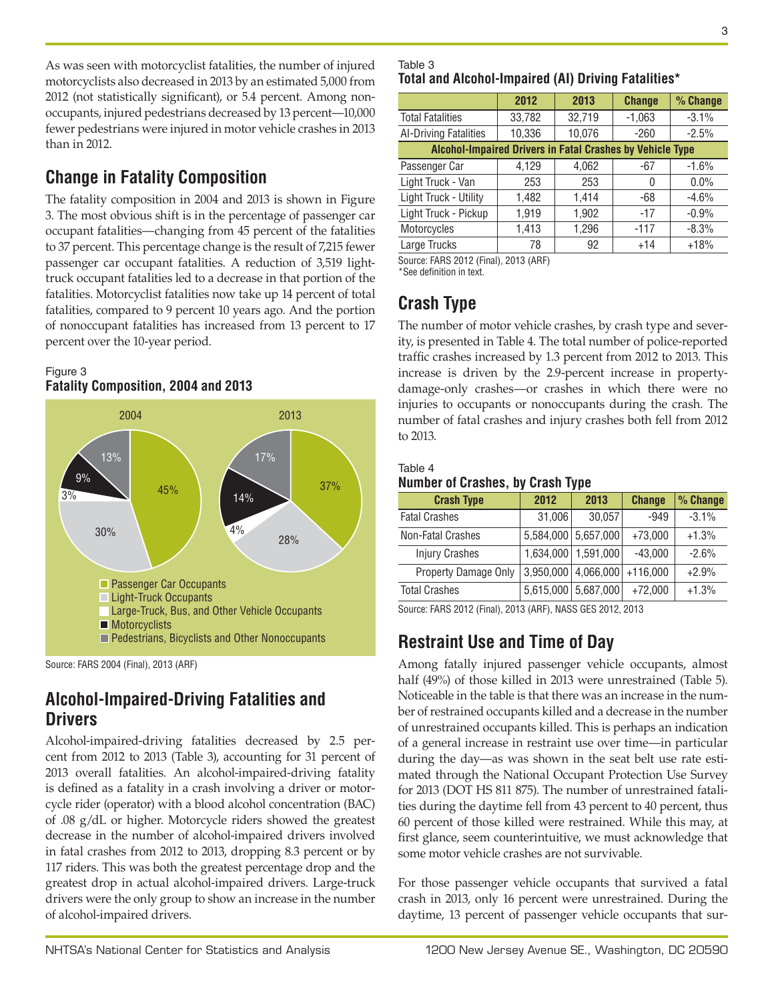As was seen with motorcyclist fatalities, the number of injured motorcyclists also decreased in 2013 by an estimated 5,000 from 2012 (not statistically significant), or 5.4 percent. Among nonoccupants, injured pedestrians decreased by 13 percent—10,000 fewer pedestrians were injured in motor vehicle crashes in 2013 than in 2012.

## **Change in Fatality Composition**

The fatality composition in 2004 and 2013 is shown in Figure 3. The most obvious shift is in the percentage of passenger car occupant fatalities—changing from 45 percent of the fatalities to 37 percent. This percentage change is the result of 7,215 fewer passenger car occupant fatalities. A reduction of 3,519 lighttruck occupant fatalities led to a decrease in that portion of the fatalities. Motorcyclist fatalities now take up 14 percent of total fatalities, compared to 9 percent 10 years ago. And the portion of nonoccupant fatalities has increased from 13 percent to 17 percent over the 10-year period.

### Figure 3 **Fatality Composition, 2004 and 2013**



Source: FARS 2004 (Final), 2013 (ARF)

## **Alcohol-Impaired-Driving Fatalities and Drivers**

Alcohol-impaired-driving fatalities decreased by 2.5 percent from 2012 to 2013 (Table 3), accounting for 31 percent of 2013 overall fatalities. An alcohol-impaired-driving fatality is defined as a fatality in a crash involving a driver or motorcycle rider (operator) with a blood alcohol concentration (BAC) of .08 g/dL or higher. Motorcycle riders showed the greatest decrease in the number of alcohol-impaired drivers involved in fatal crashes from 2012 to 2013, dropping 8.3 percent or by 117 riders. This was both the greatest percentage drop and the greatest drop in actual alcohol-impaired drivers. Large-truck drivers were the only group to show an increase in the number of alcohol-impaired drivers.

## Table 3 **Total and Alcohol-Impaired (AI) Driving Fatalities\***

|                                                           | 2012   | 2013   | <b>Change</b> | % Change |  |  |  |  |  |
|-----------------------------------------------------------|--------|--------|---------------|----------|--|--|--|--|--|
| <b>Total Fatalities</b>                                   | 33,782 | 32,719 | $-1,063$      | $-3.1%$  |  |  |  |  |  |
| Al-Driving Fatalities                                     | 10,336 | 10,076 | $-260$        | $-2.5%$  |  |  |  |  |  |
| Alcohol-Impaired Drivers in Fatal Crashes by Vehicle Type |        |        |               |          |  |  |  |  |  |
| Passenger Car                                             | 4,129  | 4,062  | -67           | $-1.6%$  |  |  |  |  |  |
| Light Truck - Van                                         | 253    | 253    | 0             | $0.0\%$  |  |  |  |  |  |
| Light Truck - Utility                                     | 1,482  | 1,414  | -68           | $-4.6%$  |  |  |  |  |  |
| Light Truck - Pickup                                      | 1,919  | 1,902  | $-17$         | $-0.9%$  |  |  |  |  |  |
| Motorcycles                                               | 1,413  | 1,296  | $-117$        | $-8.3%$  |  |  |  |  |  |
| Large Trucks                                              | 78     | 92     | $+14$         | $+18%$   |  |  |  |  |  |
|                                                           |        |        |               |          |  |  |  |  |  |

Source: FARS 2012 (Final), 2013 (ARF)

\*See definition in text.

# **Crash Type**

The number of motor vehicle crashes, by crash type and severity, is presented in Table 4. The total number of police-reported traffic crashes increased by 1.3 percent from 2012 to 2013. This increase is driven by the 2.9-percent increase in propertydamage-only crashes—or crashes in which there were no injuries to occupants or nonoccupants during the crash. The number of fatal crashes and injury crashes both fell from 2012 to 2013.

#### Table 4 **Number of Crashes, by Crash Type**

| <b>Crash Type</b>     | 2012      | 2013                | <b>Change</b> | % Change |
|-----------------------|-----------|---------------------|---------------|----------|
| <b>Fatal Crashes</b>  | 31,006    | 30,057              | $-949$        | $-3.1%$  |
| Non-Fatal Crashes     |           | 5,584,000 5,657,000 | $+73,000$     | $+1.3%$  |
| <b>Injury Crashes</b> | 1,634,000 | 1,591,000           | $-43,000$     | $-2.6%$  |
| Property Damage Only  | 3,950,000 | 4,066,000           | $+116,000$    | $+2.9%$  |
| <b>Total Crashes</b>  |           | 5,615,000 5,687,000 | $+72,000$     | $+1.3%$  |

Source: FARS 2012 (Final), 2013 (ARF), NASS GES 2012, 2013

# **Restraint Use and Time of Day**

Among fatally injured passenger vehicle occupants, almost half (49%) of those killed in 2013 were unrestrained (Table 5). Noticeable in the table is that there was an increase in the number of restrained occupants killed and a decrease in the number of unrestrained occupants killed. This is perhaps an indication of a general increase in restraint use over time—in particular during the day—as was shown in the seat belt use rate estimated through the National Occupant Protection Use Survey for 2013 (DOT HS 811 875). The number of unrestrained fatalities during the daytime fell from 43 percent to 40 percent, thus 60 percent of those killed were restrained. While this may, at first glance, seem counterintuitive, we must acknowledge that some motor vehicle crashes are not survivable.

For those passenger vehicle occupants that survived a fatal crash in 2013, only 16 percent were unrestrained. During the daytime, 13 percent of passenger vehicle occupants that sur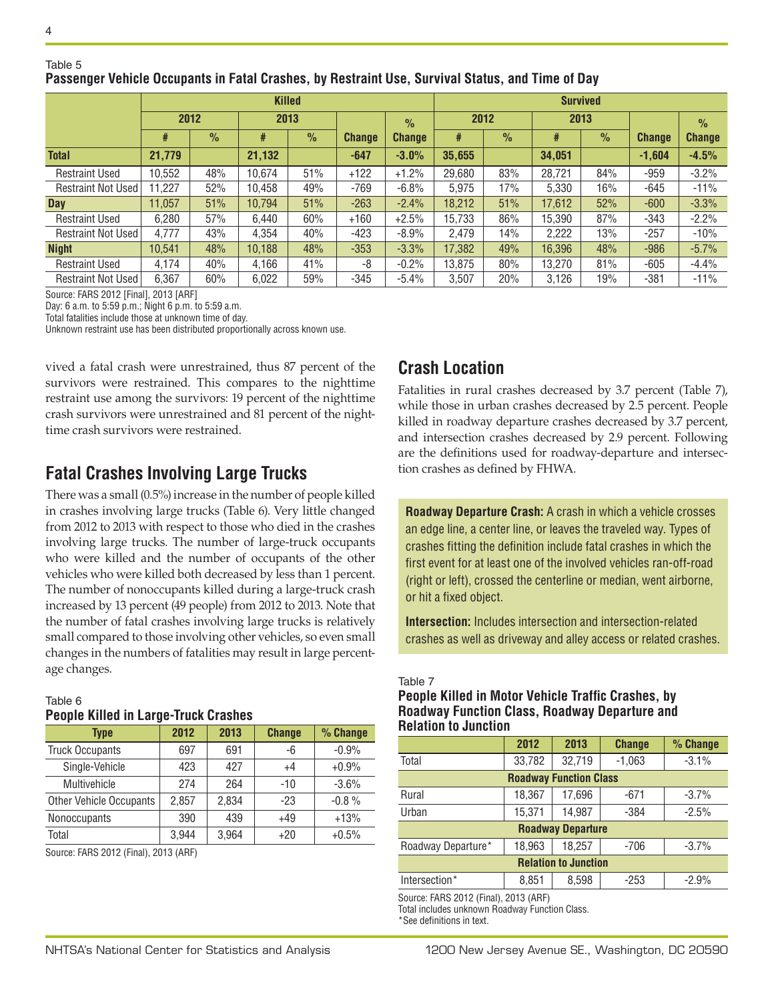Table 5

|                           | <b>Killed</b> |               |        |               |               |               | <b>Survived</b> |               |        |               |               |               |  |
|---------------------------|---------------|---------------|--------|---------------|---------------|---------------|-----------------|---------------|--------|---------------|---------------|---------------|--|
|                           | 2012          |               | 2013   |               | $\frac{9}{6}$ | 2012          |                 | 2013          |        |               | $\frac{9}{6}$ |               |  |
|                           | #             | $\frac{9}{6}$ | #      | $\frac{9}{6}$ | <b>Change</b> | <b>Change</b> | #               | $\frac{9}{6}$ | #      | $\frac{9}{6}$ | <b>Change</b> | <b>Change</b> |  |
| <b>Total</b>              | 21,779        |               | 21,132 |               | $-647$        | $-3.0%$       | 35,655          |               | 34,051 |               | $-1,604$      | $-4.5%$       |  |
| <b>Restraint Used</b>     | 10,552        | 48%           | 10,674 | 51%           | $+122$        | $+1.2%$       | 29,680          | 83%           | 28,721 | 84%           | $-959$        | $-3.2%$       |  |
| <b>Restraint Not Used</b> | 1.227         | 52%           | 10.458 | 49%           | $-769$        | $-6.8%$       | 5.975           | 17%           | 5.330  | 16%           | $-645$        | $-11%$        |  |
| Day                       | 11,057        | 51%           | 10,794 | 51%           | $-263$        | $-2.4%$       | 18,212          | 51%           | 17,612 | 52%           | $-600$        | $-3.3%$       |  |
| <b>Restraint Used</b>     | 6,280         | 57%           | 6.440  | 60%           | $+160$        | $+2.5%$       | 15,733          | 86%           | 15,390 | 87%           | $-343$        | $-2.2%$       |  |
| <b>Restraint Not Used</b> | 4,777         | 43%           | 4,354  | 40%           | $-423$        | $-8.9%$       | 2,479           | 14%           | 2,222  | 13%           | $-257$        | $-10%$        |  |
| <b>Night</b>              | 10,541        | 48%           | 10,188 | 48%           | $-353$        | $-3.3%$       | 17,382          | 49%           | 16,396 | 48%           | $-986$        | $-5.7%$       |  |
| <b>Restraint Used</b>     | 4.174         | 40%           | 4,166  | 41%           | -8            | $-0.2%$       | 13,875          | 80%           | 13,270 | 81%           | $-605$        | $-4.4%$       |  |
| <b>Restraint Not Used</b> | 6.367         | 60%           | 6.022  | 59%           | -345          | $-5.4%$       | 3,507           | 20%           | 3.126  | 19%           | -381          | $-11%$        |  |

### **Passenger Vehicle Occupants in Fatal Crashes, by Restraint Use, Survival Status, and Time of Day**

Source: FARS 2012 [Final], 2013 [ARF]

Day: 6 a.m. to 5:59 p.m.; Night 6 p.m. to 5:59 a.m.

Total fatalities include those at unknown time of day.

Unknown restraint use has been distributed proportionally across known use.

vived a fatal crash were unrestrained, thus 87 percent of the survivors were restrained. This compares to the nighttime restraint use among the survivors: 19 percent of the nighttime crash survivors were unrestrained and 81 percent of the nighttime crash survivors were restrained.

## **Fatal Crashes Involving Large Trucks**

There was a small (0.5%) increase in the number of people killed in crashes involving large trucks (Table 6). Very little changed from 2012 to 2013 with respect to those who died in the crashes involving large trucks. The number of large-truck occupants who were killed and the number of occupants of the other vehicles who were killed both decreased by less than 1 percent. The number of nonoccupants killed during a large-truck crash increased by 13 percent (49 people) from 2012 to 2013. Note that the number of fatal crashes involving large trucks is relatively small compared to those involving other vehicles, so even small changes in the numbers of fatalities may result in large percentage changes.

#### Table 6 **People Killed in Large-Truck Crashes**

| <b>Type</b>                    | 2012  | 2013  | <b>Change</b> | % Change |
|--------------------------------|-------|-------|---------------|----------|
| <b>Truck Occupants</b>         | 697   | 691   | -6            | $-0.9%$  |
| Single-Vehicle                 | 423   | 427   | $+4$          | $+0.9%$  |
| Multivehicle                   | 274   | 264   | $-10$         | $-3.6%$  |
| <b>Other Vehicle Occupants</b> | 2,857 | 2,834 | $-23$         | $-0.8%$  |
| Nonoccupants                   | 390   | 439   | $+49$         | $+13%$   |
| Total                          | 3,944 | 3,964 | $+20$         | $+0.5%$  |

Source: FARS 2012 (Final), 2013 (ARF)

## **Crash Location**

Fatalities in rural crashes decreased by 3.7 percent (Table 7), while those in urban crashes decreased by 2.5 percent. People killed in roadway departure crashes decreased by 3.7 percent, and intersection crashes decreased by 2.9 percent. Following are the definitions used for roadway-departure and intersection crashes as defined by FHWA.

**Roadway Departure Crash:** A crash in which a vehicle crosses an edge line, a center line, or leaves the traveled way. Types of crashes fitting the definition include fatal crashes in which the first event for at least one of the involved vehicles ran-off-road (right or left), crossed the centerline or median, went airborne, or hit a fixed object.

**Intersection:** Includes intersection and intersection-related crashes as well as driveway and alley access or related crashes.

#### Table 7

#### **People Killed in Motor Vehicle Traffic Crashes, by Roadway Function Class, Roadway Departure and Relation to Junction**

|                               | 2012   | 2013                     | <b>Change</b> | % Change |  |  |  |  |  |
|-------------------------------|--------|--------------------------|---------------|----------|--|--|--|--|--|
| Total                         | 33,782 | 32,719                   | $-1,063$      | $-3.1%$  |  |  |  |  |  |
| <b>Roadway Function Class</b> |        |                          |               |          |  |  |  |  |  |
| Rural                         | 18,367 | 17,696                   | $-671$        | $-3.7%$  |  |  |  |  |  |
| Urban                         | 15,371 | 14,987                   | $-384$        | $-2.5%$  |  |  |  |  |  |
|                               |        | <b>Roadway Departure</b> |               |          |  |  |  |  |  |
| Roadway Departure*            | 18.963 | 18.257                   | $-706$        | $-3.7%$  |  |  |  |  |  |
| <b>Relation to Junction</b>   |        |                          |               |          |  |  |  |  |  |
| Intersection*                 | 8,851  | 8,598                    | $-253$        | $-2.9%$  |  |  |  |  |  |

Source: FARS 2012 (Final), 2013 (ARF)

Total includes unknown Roadway Function Class. \*See definitions in text.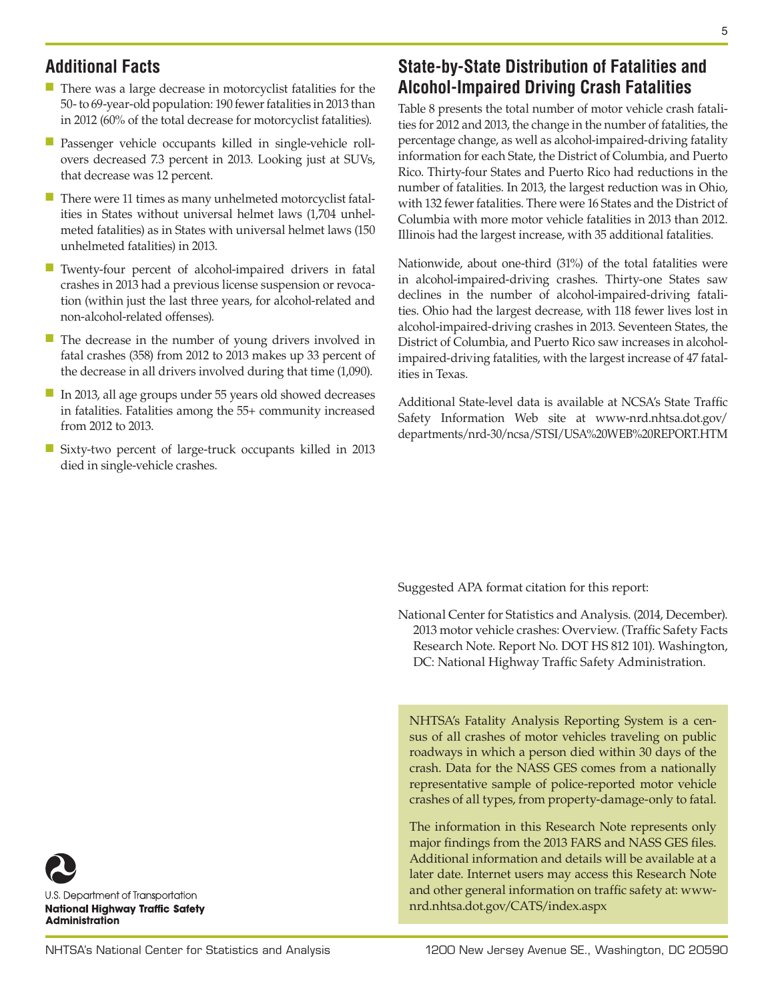## **Additional Facts**

- There was a large decrease in motorcyclist fatalities for the 50- to 69-year-old population: 190 fewer fatalities in 2013 than in 2012 (60% of the total decrease for motorcyclist fatalities).
- Passenger vehicle occupants killed in single-vehicle rollovers decreased 7.3 percent in 2013. Looking just at SUVs, that decrease was 12 percent.
- There were 11 times as many unhelmeted motorcyclist fatalities in States without universal helmet laws (1,704 unhelmeted fatalities) as in States with universal helmet laws (150 unhelmeted fatalities) in 2013.
- Twenty-four percent of alcohol-impaired drivers in fatal crashes in 2013 had a previous license suspension or revocation (within just the last three years, for alcohol-related and non-alcohol-related offenses).
- The decrease in the number of young drivers involved in fatal crashes (358) from 2012 to 2013 makes up 33 percent of the decrease in all drivers involved during that time (1,090).
- In 2013, all age groups under 55 years old showed decreases in fatalities. Fatalities among the 55+ community increased from 2012 to 2013.
- Sixty-two percent of large-truck occupants killed in 2013 died in single-vehicle crashes.

## **State-by-State Distribution of Fatalities and Alcohol-Impaired Driving Crash Fatalities**

Table 8 presents the total number of motor vehicle crash fatalities for 2012 and 2013, the change in the number of fatalities, the percentage change, as well as alcohol-impaired-driving fatality information for each State, the District of Columbia, and Puerto Rico. Thirty-four States and Puerto Rico had reductions in the number of fatalities. In 2013, the largest reduction was in Ohio, with 132 fewer fatalities. There were 16 States and the District of Columbia with more motor vehicle fatalities in 2013 than 2012. Illinois had the largest increase, with 35 additional fatalities.

Nationwide, about one-third (31%) of the total fatalities were in alcohol-impaired-driving crashes. Thirty-one States saw declines in the number of alcohol-impaired-driving fatalities. Ohio had the largest decrease, with 118 fewer lives lost in alcohol-impaired-driving crashes in 2013. Seventeen States, the District of Columbia, and Puerto Rico saw increases in alcoholimpaired-driving fatalities, with the largest increase of 47 fatalities in Texas.

Additional State-level data is available at NCSA's State Traffic Safety Information Web site at [www-nrd.nhtsa.dot.gov/](http://www-nrd.nhtsa.dot.gov/departments/nrd-30/ncsa/STSI/USA%20WEB%20REPORT.HTM) [departments/nrd-30/ncsa/STSI/USA%20WEB%20REPORT.HTM](http://www-nrd.nhtsa.dot.gov/departments/nrd-30/ncsa/STSI/USA%20WEB%20REPORT.HTM)

Suggested APA format citation for this report:

National Center for Statistics and Analysis. (2014, December). 2013 motor vehicle crashes: Overview. (Traffic Safety Facts Research Note. Report No. DOT HS 812 101). Washington, DC: National Highway Traffic Safety Administration.

NHTSA's Fatality Analysis Reporting System is a census of all crashes of motor vehicles traveling on public roadways in which a person died within 30 days of the crash. Data for the NASS GES comes from a nationally representative sample of police-reported motor vehicle crashes of all types, from property-damage-only to fatal.

The information in this Research Note represents only major findings from the 2013 FARS and NASS GES files. Additional information and details will be available at a later date. Internet users may access this Research Note and other general information on traffic safety at: [www](http://www-nrd.nhtsa.dot.gov/CATS/index.aspx)[nrd.nhtsa.dot.gov/CATS/index.aspx](http://www-nrd.nhtsa.dot.gov/CATS/index.aspx)

U.S. Department of Transportation **National Highway Traffic Safety Administration**